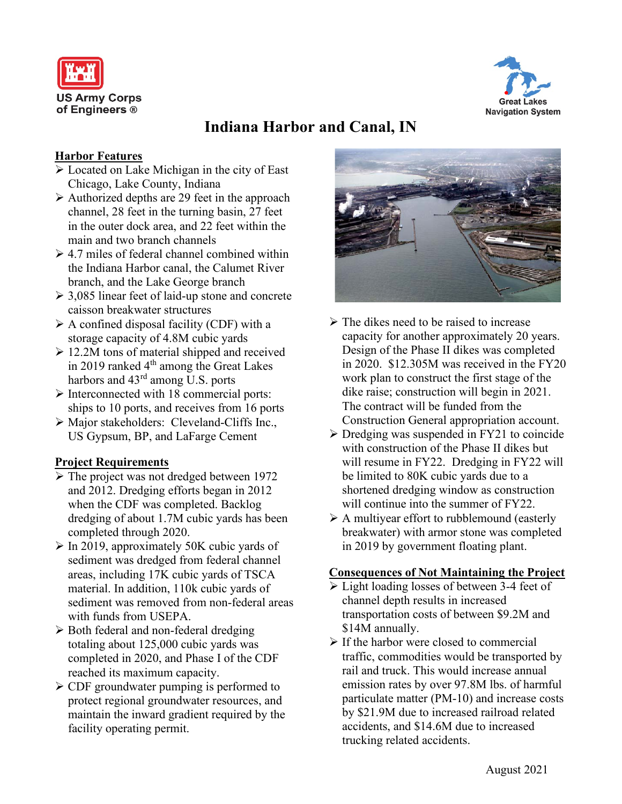



# **Indiana Harbor and Canal, IN**

### **Harbor Features**

- $\sqrt{\phantom{a}}$  Located on Lake Michigan in the city of East Chicago, Lake County, Indiana
- $\triangleright$  Authorized depths are 29 feet in the approach channel, 28 feet in the turning basin, 27 feet in the outer dock area, and 22 feet within the main and two branch channels
- $\geq 4.7$  miles of federal channel combined within the Indiana Harbor canal, the Calumet River branch, and the Lake George branch
- 3,085 linear feet of laid-up stone and concrete caisson breakwater structures
- $\triangleright$  A confined disposal facility (CDF) with a storage capacity of 4.8M cubic yards
- $\geq 12.2M$  tons of material shipped and received in 2019 ranked 4<sup>th</sup> among the Great Lakes harbors and 43<sup>rd</sup> among U.S. ports
- $\triangleright$  Interconnected with 18 commercial ports: ships to 10 ports, and receives from 16 ports
- Major stakeholders: Cleveland-Cliffs Inc., US Gypsum, BP, and LaFarge Cement

## **Project Requirements**

- > The project was not dredged between 1972 and 2012. Dredging efforts began in 2012 when the CDF was completed. Backlog dredging of about 1.7M cubic yards has been completed through 2020.
- $\triangleright$  In 2019, approximately 50K cubic yards of sediment was dredged from federal channel areas, including 17K cubic yards of TSCA material. In addition, 110k cubic yards of sediment was removed from non-federal areas with funds from USEPA.
- $\triangleright$  Both federal and non-federal dredging totaling about 125,000 cubic yards was completed in 2020, and Phase I of the CDF reached its maximum capacity.
- CDF groundwater pumping is performed to protect regional groundwater resources, and maintain the inward gradient required by the facility operating permit.



- $\triangleright$  The dikes need to be raised to increase capacity for another approximately 20 years. Design of the Phase II dikes was completed in 2020. \$12.305M was received in the FY20 work plan to construct the first stage of the dike raise; construction will begin in 2021. The contract will be funded from the Construction General appropriation account.
- $\triangleright$  Dredging was suspended in FY21 to coincide with construction of the Phase II dikes but will resume in FY22. Dredging in FY22 will be limited to 80K cubic yards due to a shortened dredging window as construction will continue into the summer of FY22.
- $\triangleright$  A multiyear effort to rubblemound (easterly breakwater) with armor stone was completed in 2019 by government floating plant.

### **Consequences of Not Maintaining the Project**

- $\triangleright$  Light loading losses of between 3-4 feet of channel depth results in increased transportation costs of between \$9.2M and \$14M annually.
- $\triangleright$  If the harbor were closed to commercial traffic, commodities would be transported by rail and truck. This would increase annual emission rates by over 97.8M lbs. of harmful particulate matter (PM-10) and increase costs by \$21.9M due to increased railroad related accidents, and \$14.6M due to increased trucking related accidents.